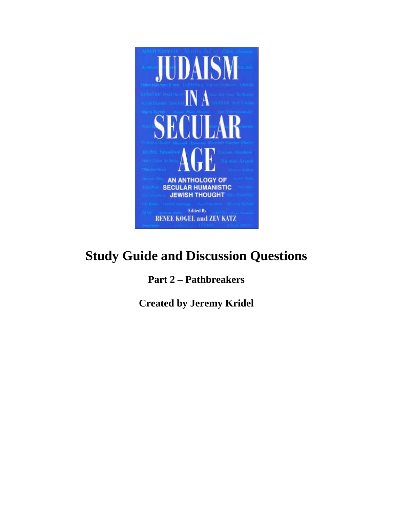

# **Study Guide and Discussion Questions**

# **Part 2 – Pathbreakers**

**Created by Jeremy Kridel**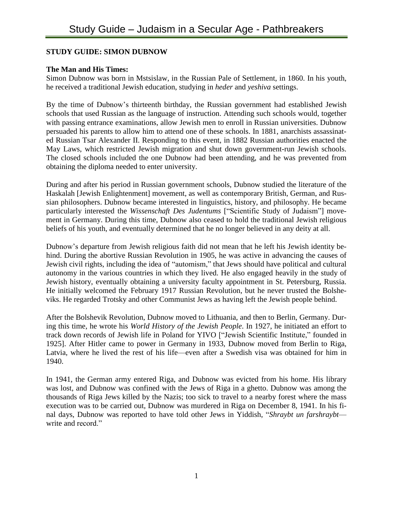#### **STUDY GUIDE: SIMON DUBNOW**

#### **The Man and His Times:**

Simon Dubnow was born in Mstsislaw, in the Russian Pale of Settlement, in 1860. In his youth, he received a traditional Jewish education, studying in *heder* and *yeshiva* settings.

By the time of Dubnow's thirteenth birthday, the Russian government had established Jewish schools that used Russian as the language of instruction. Attending such schools would, together with passing entrance examinations, allow Jewish men to enroll in Russian universities. Dubnow persuaded his parents to allow him to attend one of these schools. In 1881, anarchists assassinated Russian Tsar Alexander II. Responding to this event, in 1882 Russian authorities enacted the May Laws, which restricted Jewish migration and shut down government-run Jewish schools. The closed schools included the one Dubnow had been attending, and he was prevented from obtaining the diploma needed to enter university.

During and after his period in Russian government schools, Dubnow studied the literature of the Haskalah [Jewish Enlightenment] movement, as well as contemporary British, German, and Russian philosophers. Dubnow became interested in linguistics, history, and philosophy. He became particularly interested the *Wissenschaft Des Judentums* ["Scientific Study of Judaism"] movement in Germany. During this time, Dubnow also ceased to hold the traditional Jewish religious beliefs of his youth, and eventually determined that he no longer believed in any deity at all.

Dubnow's departure from Jewish religious faith did not mean that he left his Jewish identity behind. During the abortive Russian Revolution in 1905, he was active in advancing the causes of Jewish civil rights, including the idea of "automism," that Jews should have political and cultural autonomy in the various countries in which they lived. He also engaged heavily in the study of Jewish history, eventually obtaining a university faculty appointment in St. Petersburg, Russia. He initially welcomed the February 1917 Russian Revolution, but he never trusted the Bolsheviks. He regarded Trotsky and other Communist Jews as having left the Jewish people behind.

After the Bolshevik Revolution, Dubnow moved to Lithuania, and then to Berlin, Germany. During this time, he wrote his *World History of the Jewish People*. In 1927, he initiated an effort to track down records of Jewish life in Poland for YIVO ["Jewish Scientific Institute," founded in 1925]. After Hitler came to power in Germany in 1933, Dubnow moved from Berlin to Riga, Latvia, where he lived the rest of his life—even after a Swedish visa was obtained for him in 1940.

In 1941, the German army entered Riga, and Dubnow was evicted from his home. His library was lost, and Dubnow was confined with the Jews of Riga in a ghetto. Dubnow was among the thousands of Riga Jews killed by the Nazis; too sick to travel to a nearby forest where the mass execution was to be carried out, Dubnow was murdered in Riga on December 8, 1941. In his final days, Dubnow was reported to have told other Jews in Yiddish, "*Shraybt un farshraybt* write and record."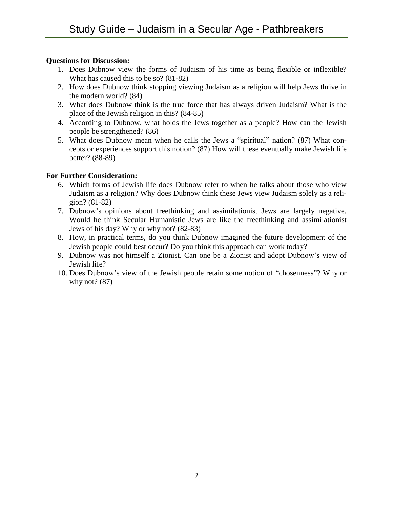# **Questions for Discussion:**

- 1. Does Dubnow view the forms of Judaism of his time as being flexible or inflexible? What has caused this to be so? (81-82)
- 2. How does Dubnow think stopping viewing Judaism as a religion will help Jews thrive in the modern world? (84)
- 3. What does Dubnow think is the true force that has always driven Judaism? What is the place of the Jewish religion in this? (84-85)
- 4. According to Dubnow, what holds the Jews together as a people? How can the Jewish people be strengthened? (86)
- 5. What does Dubnow mean when he calls the Jews a "spiritual" nation? (87) What concepts or experiences support this notion? (87) How will these eventually make Jewish life better? (88-89)

- 6. Which forms of Jewish life does Dubnow refer to when he talks about those who view Judaism as a religion? Why does Dubnow think these Jews view Judaism solely as a religion? (81-82)
- 7. Dubnow's opinions about freethinking and assimilationist Jews are largely negative. Would he think Secular Humanistic Jews are like the freethinking and assimilationist Jews of his day? Why or why not? (82-83)
- 8. How, in practical terms, do you think Dubnow imagined the future development of the Jewish people could best occur? Do you think this approach can work today?
- 9. Dubnow was not himself a Zionist. Can one be a Zionist and adopt Dubnow's view of Jewish life?
- 10. Does Dubnow's view of the Jewish people retain some notion of "chosenness"? Why or why not? (87)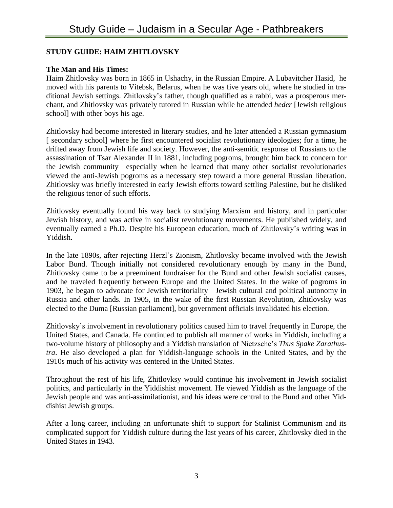# **STUDY GUIDE: HAIM ZHITLOVSKY**

# **The Man and His Times:**

Haim Zhitlovsky was born in 1865 in Ushachy, in the Russian Empire. A Lubavitcher Hasid, he moved with his parents to Vitebsk, Belarus, when he was five years old, where he studied in traditional Jewish settings. Zhitlovsky's father, though qualified as a rabbi, was a prosperous merchant, and Zhitlovsky was privately tutored in Russian while he attended *heder* [Jewish religious school] with other boys his age.

Zhitlovsky had become interested in literary studies, and he later attended a Russian gymnasium [ secondary school] where he first encountered socialist revolutionary ideologies; for a time, he drifted away from Jewish life and society. However, the anti-semitic response of Russians to the assassination of Tsar Alexander II in 1881, including pogroms, brought him back to concern for the Jewish community—especially when he learned that many other socialist revolutionaries viewed the anti-Jewish pogroms as a necessary step toward a more general Russian liberation. Zhitlovsky was briefly interested in early Jewish efforts toward settling Palestine, but he disliked the religious tenor of such efforts.

Zhitlovsky eventually found his way back to studying Marxism and history, and in particular Jewish history, and was active in socialist revolutionary movements. He published widely, and eventually earned a Ph.D. Despite his European education, much of Zhitlovsky's writing was in Yiddish.

In the late 1890s, after rejecting Herzl's Zionism, Zhitlovsky became involved with the Jewish Labor Bund. Though initially not considered revolutionary enough by many in the Bund, Zhitlovsky came to be a preeminent fundraiser for the Bund and other Jewish socialist causes, and he traveled frequently between Europe and the United States. In the wake of pogroms in 1903, he began to advocate for Jewish territoriality—Jewish cultural and political autonomy in Russia and other lands. In 1905, in the wake of the first Russian Revolution, Zhitlovsky was elected to the Duma [Russian parliament], but government officials invalidated his election.

Zhitlovsky's involvement in revolutionary politics caused him to travel frequently in Europe, the United States, and Canada. He continued to publish all manner of works in Yiddish, including a two-volume history of philosophy and a Yiddish translation of Nietzsche's *Thus Spake Zarathustra*. He also developed a plan for Yiddish-language schools in the United States, and by the 1910s much of his activity was centered in the United States.

Throughout the rest of his life, Zhitlovksy would continue his involvement in Jewish socialist politics, and particularly in the Yiddishist movement. He viewed Yiddish as the language of the Jewish people and was anti-assimilationist, and his ideas were central to the Bund and other Yiddishist Jewish groups.

After a long career, including an unfortunate shift to support for Stalinist Communism and its complicated support for Yiddish culture during the last years of his career, Zhitlovsky died in the United States in 1943.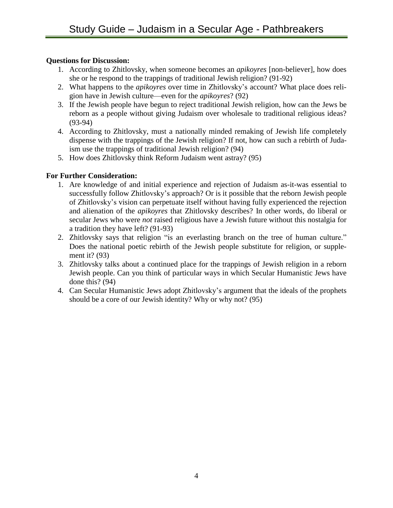# **Questions for Discussion:**

- 1. According to Zhitlovsky, when someone becomes an *apikoyres* [non-believer], how does she or he respond to the trappings of traditional Jewish religion? (91-92)
- 2. What happens to the *apikoyres* over time in Zhitlovsky's account? What place does religion have in Jewish culture—even for the *apikoyres*? (92)
- 3. If the Jewish people have begun to reject traditional Jewish religion, how can the Jews be reborn as a people without giving Judaism over wholesale to traditional religious ideas? (93-94)
- 4. According to Zhitlovsky, must a nationally minded remaking of Jewish life completely dispense with the trappings of the Jewish religion? If not, how can such a rebirth of Judaism use the trappings of traditional Jewish religion? (94)
- 5. How does Zhitlovsky think Reform Judaism went astray? (95)

- 1. Are knowledge of and initial experience and rejection of Judaism as-it-was essential to successfully follow Zhitlovsky's approach? Or is it possible that the reborn Jewish people of Zhitlovsky's vision can perpetuate itself without having fully experienced the rejection and alienation of the *apikoyres* that Zhitlovsky describes? In other words, do liberal or secular Jews who were *not* raised religious have a Jewish future without this nostalgia for a tradition they have left? (91-93)
- 2. Zhitlovsky says that religion "is an everlasting branch on the tree of human culture." Does the national poetic rebirth of the Jewish people substitute for religion, or supplement it? (93)
- 3. Zhitlovsky talks about a continued place for the trappings of Jewish religion in a reborn Jewish people. Can you think of particular ways in which Secular Humanistic Jews have done this? (94)
- 4. Can Secular Humanistic Jews adopt Zhitlovsky's argument that the ideals of the prophets should be a core of our Jewish identity? Why or why not? (95)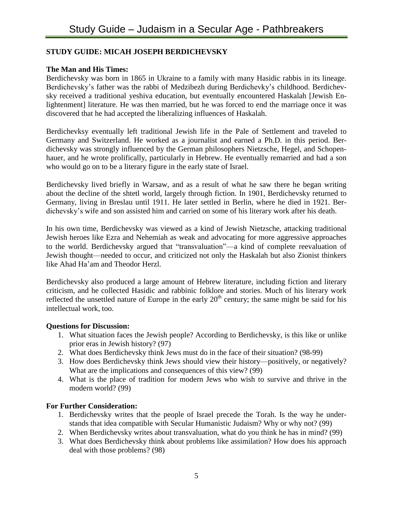# **STUDY GUIDE: MICAH JOSEPH BERDICHEVSKY**

# **The Man and His Times:**

Berdichevsky was born in 1865 in Ukraine to a family with many Hasidic rabbis in its lineage. Berdichevsky's father was the rabbi of Medzibezh during Berdichevky's childhood. Berdichevsky received a traditional yeshiva education, but eventually encountered Haskalah [Jewish Enlightenment] literature. He was then married, but he was forced to end the marriage once it was discovered that he had accepted the liberalizing influences of Haskalah.

Berdichevksy eventually left traditional Jewish life in the Pale of Settlement and traveled to Germany and Switzerland. He worked as a journalist and earned a Ph.D. in this period. Berdichevsky was strongly influenced by the German philosophers Nietzsche, Hegel, and Schopenhauer, and he wrote prolifically, particularly in Hebrew. He eventually remarried and had a son who would go on to be a literary figure in the early state of Israel.

Berdichevsky lived briefly in Warsaw, and as a result of what he saw there he began writing about the decline of the shtetl world, largely through fiction. In 1901, Berdichevsky returned to Germany, living in Breslau until 1911. He later settled in Berlin, where he died in 1921. Berdichevsky's wife and son assisted him and carried on some of his literary work after his death.

In his own time, Berdichevsky was viewed as a kind of Jewish Nietzsche, attacking traditional Jewish heroes like Ezra and Nehemiah as weak and advocating for more aggressive approaches to the world. Berdichevsky argued that "transvaluation"—a kind of complete reevaluation of Jewish thought—needed to occur, and criticized not only the Haskalah but also Zionist thinkers like Ahad Ha'am and Theodor Herzl.

Berdichevsky also produced a large amount of Hebrew literature, including fiction and literary criticism, and he collected Hasidic and rabbinic folklore and stories. Much of his literary work reflected the unsettled nature of Europe in the early  $20<sup>th</sup>$  century; the same might be said for his intellectual work, too.

# **Questions for Discussion:**

- 1. What situation faces the Jewish people? According to Berdichevsky, is this like or unlike prior eras in Jewish history? (97)
- 2. What does Berdichevsky think Jews must do in the face of their situation? (98-99)
- 3. How does Berdichevsky think Jews should view their history—positively, or negatively? What are the implications and consequences of this view? (99)
- 4. What is the place of tradition for modern Jews who wish to survive and thrive in the modern world? (99)

- 1. Berdichevsky writes that the people of Israel precede the Torah. Is the way he understands that idea compatible with Secular Humanistic Judaism? Why or why not? (99)
- 2. When Berdichevsky writes about transvaluation, what do you think he has in mind? (99)
- 3. What does Berdichevsky think about problems like assimilation? How does his approach deal with those problems? (98)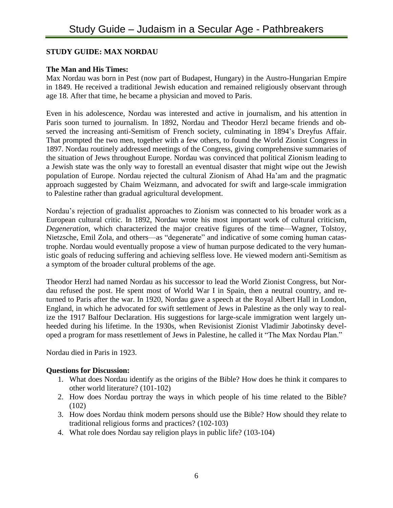# **STUDY GUIDE: MAX NORDAU**

# **The Man and His Times:**

Max Nordau was born in Pest (now part of Budapest, Hungary) in the Austro-Hungarian Empire in 1849. He received a traditional Jewish education and remained religiously observant through age 18. After that time, he became a physician and moved to Paris.

Even in his adolescence, Nordau was interested and active in journalism, and his attention in Paris soon turned to journalism. In 1892, Nordau and Theodor Herzl became friends and observed the increasing anti-Semitism of French society, culminating in 1894's Dreyfus Affair. That prompted the two men, together with a few others, to found the World Zionist Congress in 1897. Nordau routinely addressed meetings of the Congress, giving comprehensive summaries of the situation of Jews throughout Europe. Nordau was convinced that political Zionism leading to a Jewish state was the only way to forestall an eventual disaster that might wipe out the Jewish population of Europe. Nordau rejected the cultural Zionism of Ahad Ha'am and the pragmatic approach suggested by Chaim Weizmann, and advocated for swift and large-scale immigration to Palestine rather than gradual agricultural development.

Nordau's rejection of gradualist approaches to Zionism was connected to his broader work as a European cultural critic. In 1892, Nordau wrote his most important work of cultural criticism, *Degeneration*, which characterized the major creative figures of the time—Wagner, Tolstoy, Nietzsche, Emil Zola, and others—as "degenerate" and indicative of some coming human catastrophe. Nordau would eventually propose a view of human purpose dedicated to the very humanistic goals of reducing suffering and achieving selfless love. He viewed modern anti-Semitism as a symptom of the broader cultural problems of the age.

Theodor Herzl had named Nordau as his successor to lead the World Zionist Congress, but Nordau refused the post. He spent most of World War I in Spain, then a neutral country, and returned to Paris after the war. In 1920, Nordau gave a speech at the Royal Albert Hall in London, England, in which he advocated for swift settlement of Jews in Palestine as the only way to realize the 1917 Balfour Declaration. His suggestions for large-scale immigration went largely unheeded during his lifetime. In the 1930s, when Revisionist Zionist Vladimir Jabotinsky developed a program for mass resettlement of Jews in Palestine, he called it "The Max Nordau Plan."

Nordau died in Paris in 1923.

- 1. What does Nordau identify as the origins of the Bible? How does he think it compares to other world literature? (101-102)
- 2. How does Nordau portray the ways in which people of his time related to the Bible? (102)
- 3. How does Nordau think modern persons should use the Bible? How should they relate to traditional religious forms and practices? (102-103)
- 4. What role does Nordau say religion plays in public life? (103-104)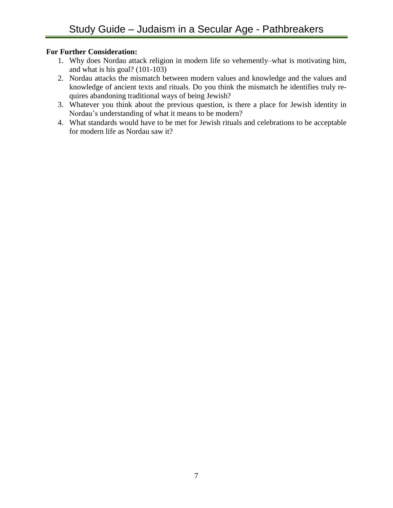- 1. Why does Nordau attack religion in modern life so vehemently–what is motivating him, and what is his goal? (101-103)
- 2. Nordau attacks the mismatch between modern values and knowledge and the values and knowledge of ancient texts and rituals. Do you think the mismatch he identifies truly requires abandoning traditional ways of being Jewish?
- 3. Whatever you think about the previous question, is there a place for Jewish identity in Nordau's understanding of what it means to be modern?
- 4. What standards would have to be met for Jewish rituals and celebrations to be acceptable for modern life as Nordau saw it?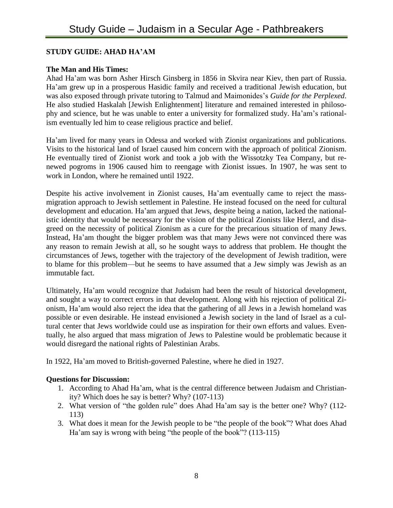# **STUDY GUIDE: AHAD HA'AM**

#### **The Man and His Times:**

Ahad Ha'am was born Asher Hirsch Ginsberg in 1856 in Skvira near Kiev, then part of Russia. Ha'am grew up in a prosperous Hasidic family and received a traditional Jewish education, but was also exposed through private tutoring to Talmud and Maimonides's *Guide for the Perplexed*. He also studied Haskalah [Jewish Enlightenment] literature and remained interested in philosophy and science, but he was unable to enter a university for formalized study. Ha'am's rationalism eventually led him to cease religious practice and belief.

Ha'am lived for many years in Odessa and worked with Zionist organizations and publications. Visits to the historical land of Israel caused him concern with the approach of political Zionism. He eventually tired of Zionist work and took a job with the Wissotzky Tea Company, but renewed pogroms in 1906 caused him to reengage with Zionist issues. In 1907, he was sent to work in London, where he remained until 1922.

Despite his active involvement in Zionist causes, Ha'am eventually came to reject the massmigration approach to Jewish settlement in Palestine. He instead focused on the need for cultural development and education. Ha'am argued that Jews, despite being a nation, lacked the nationalistic identity that would be necessary for the vision of the political Zionists like Herzl, and disagreed on the necessity of political Zionism as a cure for the precarious situation of many Jews. Instead, Ha'am thought the bigger problem was that many Jews were not convinced there was any reason to remain Jewish at all, so he sought ways to address that problem. He thought the circumstances of Jews, together with the trajectory of the development of Jewish tradition, were to blame for this problem—but he seems to have assumed that a Jew simply was Jewish as an immutable fact.

Ultimately, Ha'am would recognize that Judaism had been the result of historical development, and sought a way to correct errors in that development. Along with his rejection of political Zionism, Ha'am would also reject the idea that the gathering of all Jews in a Jewish homeland was possible or even desirable. He instead envisioned a Jewish society in the land of Israel as a cultural center that Jews worldwide could use as inspiration for their own efforts and values. Eventually, he also argued that mass migration of Jews to Palestine would be problematic because it would disregard the national rights of Palestinian Arabs.

In 1922, Ha'am moved to British-governed Palestine, where he died in 1927.

- 1. According to Ahad Ha'am, what is the central difference between Judaism and Christianity? Which does he say is better? Why? (107-113)
- 2. What version of "the golden rule" does Ahad Ha'am say is the better one? Why? (112- 113)
- 3. What does it mean for the Jewish people to be "the people of the book"? What does Ahad Ha'am say is wrong with being "the people of the book"? (113-115)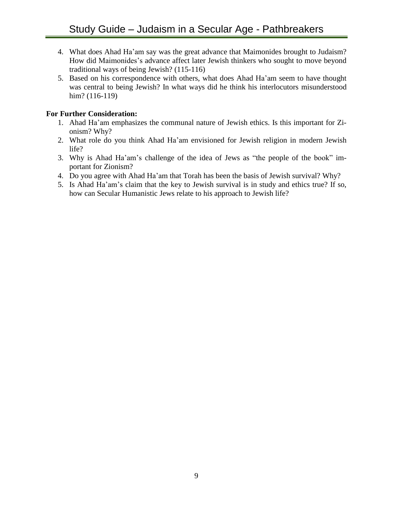- 4. What does Ahad Ha'am say was the great advance that Maimonides brought to Judaism? How did Maimonides's advance affect later Jewish thinkers who sought to move beyond traditional ways of being Jewish? (115-116)
- 5. Based on his correspondence with others, what does Ahad Ha'am seem to have thought was central to being Jewish? In what ways did he think his interlocutors misunderstood him? (116-119)

- 1. Ahad Ha'am emphasizes the communal nature of Jewish ethics. Is this important for Zionism? Why?
- 2. What role do you think Ahad Ha'am envisioned for Jewish religion in modern Jewish life?
- 3. Why is Ahad Ha'am's challenge of the idea of Jews as "the people of the book" important for Zionism?
- 4. Do you agree with Ahad Ha'am that Torah has been the basis of Jewish survival? Why?
- 5. Is Ahad Ha'am's claim that the key to Jewish survival is in study and ethics true? If so, how can Secular Humanistic Jews relate to his approach to Jewish life?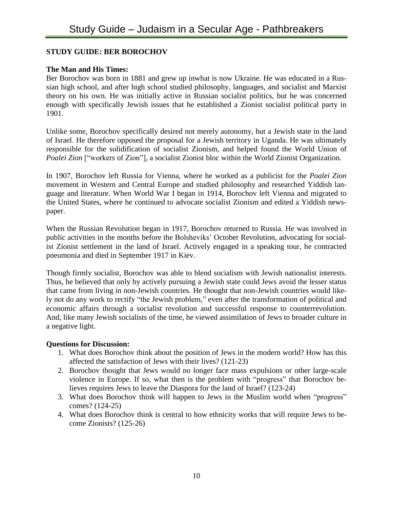# **STUDY GUIDE: BER BOROCHOV**

# **The Man and His Times:**

Ber Borochov was born in 1881 and grew up inwhat is now Ukraine. He was educated in a Russian high school, and after high school studied philosophy, languages, and socialist and Marxist theory on his own. He was initially active in Russian socialist politics, but he was concerned enough with specifically Jewish issues that he established a Zionist socialist political party in 1901.

Unlike some, Borochov specifically desired not merely autonomy, but a Jewish state in the land of Israel. He therefore opposed the proposal for a Jewish territory in Uganda. He was ultimately responsible for the solidification of socialist Zionism, and helped found the World Union of *Poalei Zion* ["workers of Zion"], a socialist Zionist bloc within the World Zionist Organization.

In 1907, Borochov left Russia for Vienna, where he worked as a publicist for the *Poalei Zion* movement in Western and Central Europe and studied philosophy and researched Yiddish language and literature. When World War I began in 1914, Borochov left Vienna and migrated to the United States, where he continued to advocate socialist Zionism and edited a Yiddish newspaper.

When the Russian Revolution began in 1917, Borochov returned to Russia. He was involved in public activities in the months before the Bolsheviks' October Revolution, advocating for socialist Zionist settlement in the land of Israel. Actively engaged in a speaking tour, he contracted pneumonia and died in September 1917 in Kiev.

Though firmly socialist, Borochov was able to blend socialism with Jewish nationalist interests. Thus, he believed that only by actively pursuing a Jewish state could Jews avoid the lesser status that came from living in non-Jewish countries. He thought that non-Jewish countries would likely not do any work to rectify "the Jewish problem," even after the transformation of political and economic affairs through a socialist revolution and successful response to counterrevolution. And, like many Jewish socialists of the time, he viewed assimilation of Jews to broader culture in a negative light.

- 1. What does Borochov think about the position of Jews in the modern world? How has this affected the satisfaction of Jews with their lives? (121-23)
- 2. Borochov thought that Jews would no longer face mass expulsions or other large-scale violence in Europe. If so, what then is the problem with "progress" that Borochov believes requires Jews to leave the Diaspora for the land of Israel? (123-24)
- 3. What does Borochov think will happen to Jews in the Muslim world when "progress" comes? (124-25)
- 4. What does Borochov think is central to how ethnicity works that will require Jews to become Zionists? (125-26)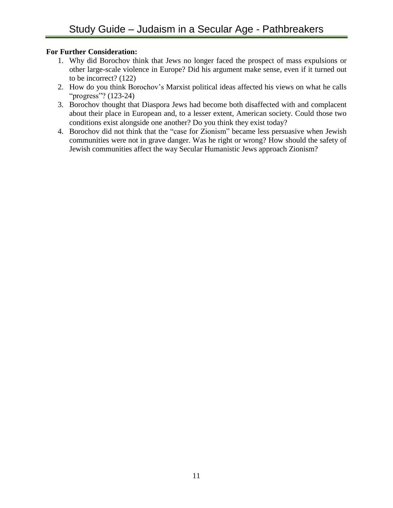- 1. Why did Borochov think that Jews no longer faced the prospect of mass expulsions or other large-scale violence in Europe? Did his argument make sense, even if it turned out to be incorrect? (122)
- 2. How do you think Borochov's Marxist political ideas affected his views on what he calls "progress"? (123-24)
- 3. Borochov thought that Diaspora Jews had become both disaffected with and complacent about their place in European and, to a lesser extent, American society. Could those two conditions exist alongside one another? Do you think they exist today?
- 4. Borochov did not think that the "case for Zionism" became less persuasive when Jewish communities were not in grave danger. Was he right or wrong? How should the safety of Jewish communities affect the way Secular Humanistic Jews approach Zionism?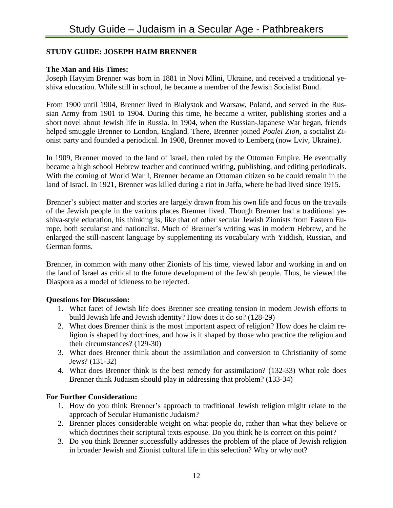#### **STUDY GUIDE: JOSEPH HAIM BRENNER**

#### **The Man and His Times:**

Joseph Hayyim Brenner was born in 1881 in Novi Mlini, Ukraine, and received a traditional yeshiva education. While still in school, he became a member of the Jewish Socialist Bund.

From 1900 until 1904, Brenner lived in Bialystok and Warsaw, Poland, and served in the Russian Army from 1901 to 1904. During this time, he became a writer, publishing stories and a short novel about Jewish life in Russia. In 1904, when the Russian-Japanese War began, friends helped smuggle Brenner to London, England. There, Brenner joined *Poalei Zion*, a socialist Zionist party and founded a periodical. In 1908, Brenner moved to Lemberg (now Lviv, Ukraine).

In 1909, Brenner moved to the land of Israel, then ruled by the Ottoman Empire. He eventually became a high school Hebrew teacher and continued writing, publishing, and editing periodicals. With the coming of World War I, Brenner became an Ottoman citizen so he could remain in the land of Israel. In 1921, Brenner was killed during a riot in Jaffa, where he had lived since 1915.

Brenner's subject matter and stories are largely drawn from his own life and focus on the travails of the Jewish people in the various places Brenner lived. Though Brenner had a traditional yeshiva-style education, his thinking is, like that of other secular Jewish Zionists from Eastern Europe, both secularist and nationalist. Much of Brenner's writing was in modern Hebrew, and he enlarged the still-nascent language by supplementing its vocabulary with Yiddish, Russian, and German forms.

Brenner, in common with many other Zionists of his time, viewed labor and working in and on the land of Israel as critical to the future development of the Jewish people. Thus, he viewed the Diaspora as a model of idleness to be rejected.

#### **Questions for Discussion:**

- 1. What facet of Jewish life does Brenner see creating tension in modern Jewish efforts to build Jewish life and Jewish identity? How does it do so? (128-29)
- 2. What does Brenner think is the most important aspect of religion? How does he claim religion is shaped by doctrines, and how is it shaped by those who practice the religion and their circumstances? (129-30)
- 3. What does Brenner think about the assimilation and conversion to Christianity of some Jews? (131-32)
- 4. What does Brenner think is the best remedy for assimilation? (132-33) What role does Brenner think Judaism should play in addressing that problem? (133-34)

- 1. How do you think Brenner's approach to traditional Jewish religion might relate to the approach of Secular Humanistic Judaism?
- 2. Brenner places considerable weight on what people do, rather than what they believe or which doctrines their scriptural texts espouse. Do you think he is correct on this point?
- 3. Do you think Brenner successfully addresses the problem of the place of Jewish religion in broader Jewish and Zionist cultural life in this selection? Why or why not?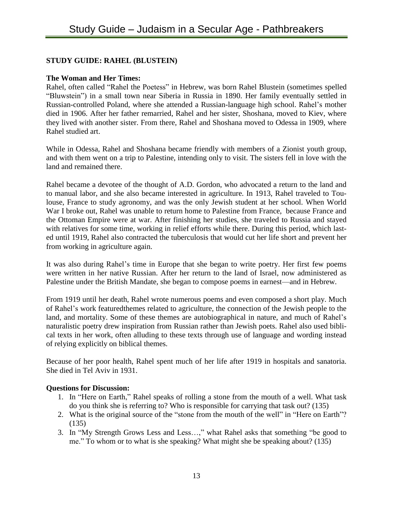# **STUDY GUIDE: RAHEL (BLUSTEIN)**

#### **The Woman and Her Times:**

Rahel, often called "Rahel the Poetess" in Hebrew, was born Rahel Blustein (sometimes spelled "Bluwstein") in a small town near Siberia in Russia in 1890. Her family eventually settled in Russian-controlled Poland, where she attended a Russian-language high school. Rahel's mother died in 1906. After her father remarried, Rahel and her sister, Shoshana, moved to Kiev, where they lived with another sister. From there, Rahel and Shoshana moved to Odessa in 1909, where Rahel studied art.

While in Odessa, Rahel and Shoshana became friendly with members of a Zionist youth group, and with them went on a trip to Palestine, intending only to visit. The sisters fell in love with the land and remained there.

Rahel became a devotee of the thought of A.D. Gordon, who advocated a return to the land and to manual labor, and she also became interested in agriculture. In 1913, Rahel traveled to Toulouse, France to study agronomy, and was the only Jewish student at her school. When World War I broke out, Rahel was unable to return home to Palestine from France, because France and the Ottoman Empire were at war. After finishing her studies, she traveled to Russia and stayed with relatives for some time, working in relief efforts while there. During this period, which lasted until 1919, Rahel also contracted the tuberculosis that would cut her life short and prevent her from working in agriculture again.

It was also during Rahel's time in Europe that she began to write poetry. Her first few poems were written in her native Russian. After her return to the land of Israel, now administered as Palestine under the British Mandate, she began to compose poems in earnest—and in Hebrew.

From 1919 until her death, Rahel wrote numerous poems and even composed a short play. Much of Rahel's work featuredthemes related to agriculture, the connection of the Jewish people to the land, and mortality. Some of these themes are autobiographical in nature, and much of Rahel's naturalistic poetry drew inspiration from Russian rather than Jewish poets. Rahel also used biblical texts in her work, often alluding to these texts through use of language and wording instead of relying explicitly on biblical themes.

Because of her poor health, Rahel spent much of her life after 1919 in hospitals and sanatoria. She died in Tel Aviv in 1931.

- 1. In "Here on Earth," Rahel speaks of rolling a stone from the mouth of a well. What task do you think she is referring to? Who is responsible for carrying that task out? (135)
- 2. What is the original source of the "stone from the mouth of the well" in "Here on Earth"? (135)
- 3. In "My Strength Grows Less and Less…," what Rahel asks that something "be good to me." To whom or to what is she speaking? What might she be speaking about? (135)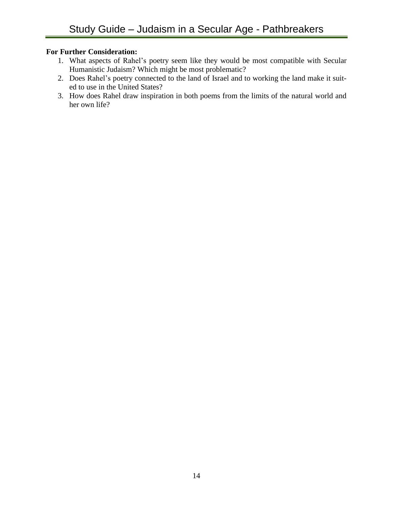- 1. What aspects of Rahel's poetry seem like they would be most compatible with Secular Humanistic Judaism? Which might be most problematic?
- 2. Does Rahel's poetry connected to the land of Israel and to working the land make it suited to use in the United States?
- 3. How does Rahel draw inspiration in both poems from the limits of the natural world and her own life?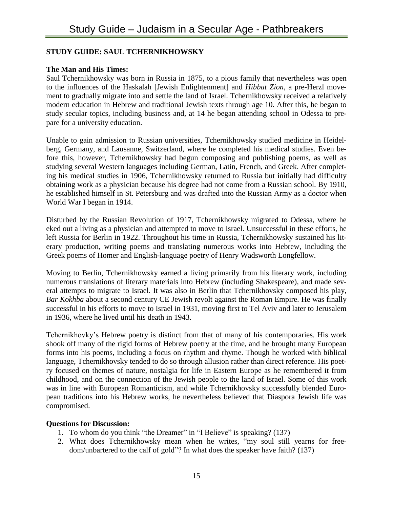# **STUDY GUIDE: SAUL TCHERNIKHOWSKY**

# **The Man and His Times:**

Saul Tchernikhowsky was born in Russia in 1875, to a pious family that nevertheless was open to the influences of the Haskalah [Jewish Enlightenment] and *Hibbat Zion*, a pre-Herzl movement to gradually migrate into and settle the land of Israel. Tchernikhowsky received a relatively modern education in Hebrew and traditional Jewish texts through age 10. After this, he began to study secular topics, including business and, at 14 he began attending school in Odessa to prepare for a university education.

Unable to gain admission to Russian universities, Tchernikhowsky studied medicine in Heidelberg, Germany, and Lausanne, Switzerland, where he completed his medical studies. Even before this, however, Tchernikhowsky had begun composing and publishing poems, as well as studying several Western languages including German, Latin, French, and Greek. After completing his medical studies in 1906, Tchernikhowsky returned to Russia but initially had difficulty obtaining work as a physician because his degree had not come from a Russian school. By 1910, he established himself in St. Petersburg and was drafted into the Russian Army as a doctor when World War I began in 1914.

Disturbed by the Russian Revolution of 1917, Tchernikhowsky migrated to Odessa, where he eked out a living as a physician and attempted to move to Israel. Unsuccessful in these efforts, he left Russia for Berlin in 1922. Throughout his time in Russia, Tchernikhowsky sustained his literary production, writing poems and translating numerous works into Hebrew, including the Greek poems of Homer and English-language poetry of Henry Wadsworth Longfellow.

Moving to Berlin, Tchernikhowsky earned a living primarily from his literary work, including numerous translations of literary materials into Hebrew (including Shakespeare), and made several attempts to migrate to Israel. It was also in Berlin that Tchernikhovsky composed his play, *Bar Kokhba* about a second century CE Jewish revolt against the Roman Empire. He was finally successful in his efforts to move to Israel in 1931, moving first to Tel Aviv and later to Jerusalem in 1936, where he lived until his death in 1943.

Tchernikhovky's Hebrew poetry is distinct from that of many of his contemporaries. His work shook off many of the rigid forms of Hebrew poetry at the time, and he brought many European forms into his poems, including a focus on rhythm and rhyme. Though he worked with biblical language, Tchernikhovsky tended to do so through allusion rather than direct reference. His poetry focused on themes of nature, nostalgia for life in Eastern Europe as he remembered it from childhood, and on the connection of the Jewish people to the land of Israel. Some of this work was in line with European Romanticism, and while Tchernikhovsky successfully blended European traditions into his Hebrew works, he nevertheless believed that Diaspora Jewish life was compromised.

- 1. To whom do you think "the Dreamer" in "I Believe" is speaking? (137)
- 2. What does Tchernikhowsky mean when he writes, "my soul still yearns for freedom/unbartered to the calf of gold"? In what does the speaker have faith? (137)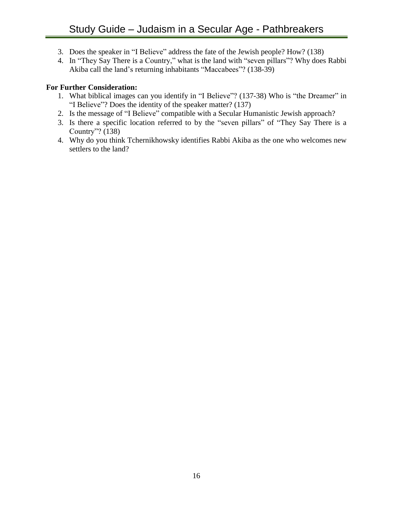- 3. Does the speaker in "I Believe" address the fate of the Jewish people? How? (138)
- 4. In "They Say There is a Country," what is the land with "seven pillars"? Why does Rabbi Akiba call the land's returning inhabitants "Maccabees"? (138-39)

- 1. What biblical images can you identify in "I Believe"? (137-38) Who is "the Dreamer" in "I Believe"? Does the identity of the speaker matter? (137)
- 2. Is the message of "I Believe" compatible with a Secular Humanistic Jewish approach?
- 3. Is there a specific location referred to by the "seven pillars" of "They Say There is a Country"? (138)
- 4. Why do you think Tchernikhowsky identifies Rabbi Akiba as the one who welcomes new settlers to the land?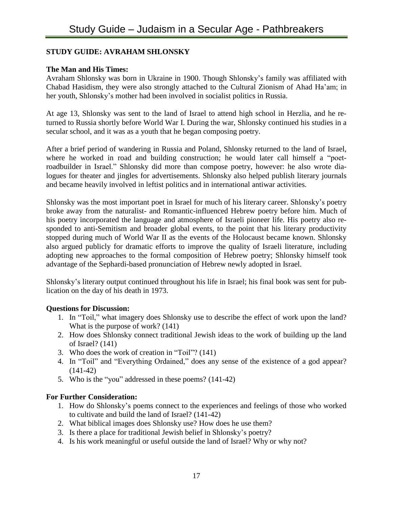# **STUDY GUIDE: AVRAHAM SHLONSKY**

# **The Man and His Times:**

Avraham Shlonsky was born in Ukraine in 1900. Though Shlonsky's family was affiliated with Chabad Hasidism, they were also strongly attached to the Cultural Zionism of Ahad Ha'am; in her youth, Shlonsky's mother had been involved in socialist politics in Russia.

At age 13, Shlonsky was sent to the land of Israel to attend high school in Herzlia, and he returned to Russia shortly before World War I. During the war, Shlonsky continued his studies in a secular school, and it was as a youth that he began composing poetry.

After a brief period of wandering in Russia and Poland, Shlonsky returned to the land of Israel, where he worked in road and building construction; he would later call himself a "poetroadbuilder in Israel." Shlonsky did more than compose poetry, however: he also wrote dialogues for theater and jingles for advertisements. Shlonsky also helped publish literary journals and became heavily involved in leftist politics and in international antiwar activities.

Shlonsky was the most important poet in Israel for much of his literary career. Shlonsky's poetry broke away from the naturalist- and Romantic-influenced Hebrew poetry before him. Much of his poetry incorporated the language and atmosphere of Israeli pioneer life. His poetry also responded to anti-Semitism and broader global events, to the point that his literary productivity stopped during much of World War II as the events of the Holocaust became known. Shlonsky also argued publicly for dramatic efforts to improve the quality of Israeli literature, including adopting new approaches to the formal composition of Hebrew poetry; Shlonsky himself took advantage of the Sephardi-based pronunciation of Hebrew newly adopted in Israel.

Shlonsky's literary output continued throughout his life in Israel; his final book was sent for publication on the day of his death in 1973.

# **Questions for Discussion:**

- 1. In "Toil," what imagery does Shlonsky use to describe the effect of work upon the land? What is the purpose of work? (141)
- 2. How does Shlonsky connect traditional Jewish ideas to the work of building up the land of Israel? (141)
- 3. Who does the work of creation in "Toil"? (141)
- 4. In "Toil" and "Everything Ordained," does any sense of the existence of a god appear? (141-42)
- 5. Who is the "you" addressed in these poems? (141-42)

- 1. How do Shlonsky's poems connect to the experiences and feelings of those who worked to cultivate and build the land of Israel? (141-42)
- 2. What biblical images does Shlonsky use? How does he use them?
- 3. Is there a place for traditional Jewish belief in Shlonsky's poetry?
- 4. Is his work meaningful or useful outside the land of Israel? Why or why not?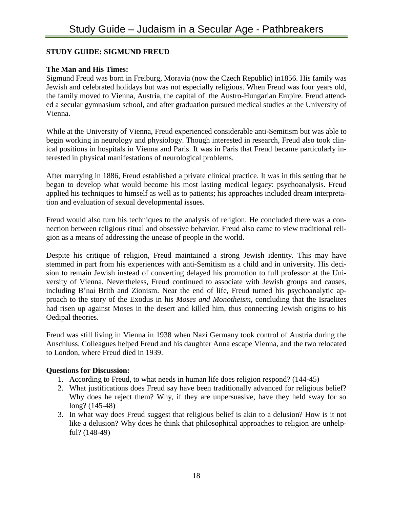# **STUDY GUIDE: SIGMUND FREUD**

# **The Man and His Times:**

Sigmund Freud was born in Freiburg, Moravia (now the Czech Republic) in1856. His family was Jewish and celebrated holidays but was not especially religious. When Freud was four years old, the family moved to Vienna, Austria, the capital of the Austro-Hungarian Empire. Freud attended a secular gymnasium school, and after graduation pursued medical studies at the University of Vienna.

While at the University of Vienna, Freud experienced considerable anti-Semitism but was able to begin working in neurology and physiology. Though interested in research, Freud also took clinical positions in hospitals in Vienna and Paris. It was in Paris that Freud became particularly interested in physical manifestations of neurological problems.

After marrying in 1886, Freud established a private clinical practice. It was in this setting that he began to develop what would become his most lasting medical legacy: psychoanalysis. Freud applied his techniques to himself as well as to patients; his approaches included dream interpretation and evaluation of sexual developmental issues.

Freud would also turn his techniques to the analysis of religion. He concluded there was a connection between religious ritual and obsessive behavior. Freud also came to view traditional religion as a means of addressing the unease of people in the world.

Despite his critique of religion, Freud maintained a strong Jewish identity. This may have stemmed in part from his experiences with anti-Semitism as a child and in university. His decision to remain Jewish instead of converting delayed his promotion to full professor at the University of Vienna. Nevertheless, Freud continued to associate with Jewish groups and causes, including B'nai Brith and Zionism. Near the end of life, Freud turned his psychoanalytic approach to the story of the Exodus in his *Moses and Monotheism*, concluding that the Israelites had risen up against Moses in the desert and killed him, thus connecting Jewish origins to his Oedipal theories.

Freud was still living in Vienna in 1938 when Nazi Germany took control of Austria during the Anschluss. Colleagues helped Freud and his daughter Anna escape Vienna, and the two relocated to London, where Freud died in 1939.

- 1. According to Freud, to what needs in human life does religion respond? (144-45)
- 2. What justifications does Freud say have been traditionally advanced for religious belief? Why does he reject them? Why, if they are unpersuasive, have they held sway for so long? (145-48)
- 3. In what way does Freud suggest that religious belief is akin to a delusion? How is it not like a delusion? Why does he think that philosophical approaches to religion are unhelpful? (148-49)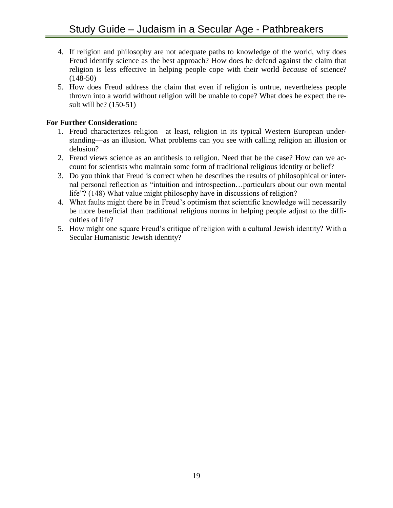- 4. If religion and philosophy are not adequate paths to knowledge of the world, why does Freud identify science as the best approach? How does he defend against the claim that religion is less effective in helping people cope with their world *because* of science? (148-50)
- 5. How does Freud address the claim that even if religion is untrue, nevertheless people thrown into a world without religion will be unable to cope? What does he expect the result will be? (150-51)

- 1. Freud characterizes religion—at least, religion in its typical Western European understanding—as an illusion. What problems can you see with calling religion an illusion or delusion?
- 2. Freud views science as an antithesis to religion. Need that be the case? How can we account for scientists who maintain some form of traditional religious identity or belief?
- 3. Do you think that Freud is correct when he describes the results of philosophical or internal personal reflection as "intuition and introspection…particulars about our own mental life"? (148) What value might philosophy have in discussions of religion?
- 4. What faults might there be in Freud's optimism that scientific knowledge will necessarily be more beneficial than traditional religious norms in helping people adjust to the difficulties of life?
- 5. How might one square Freud's critique of religion with a cultural Jewish identity? With a Secular Humanistic Jewish identity?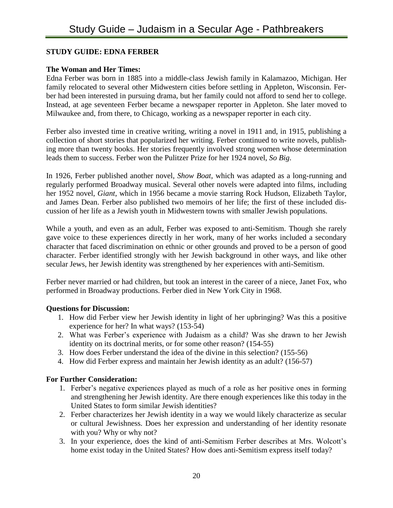# **STUDY GUIDE: EDNA FERBER**

# **The Woman and Her Times:**

Edna Ferber was born in 1885 into a middle-class Jewish family in Kalamazoo, Michigan. Her family relocated to several other Midwestern cities before settling in Appleton, Wisconsin. Ferber had been interested in pursuing drama, but her family could not afford to send her to college. Instead, at age seventeen Ferber became a newspaper reporter in Appleton. She later moved to Milwaukee and, from there, to Chicago, working as a newspaper reporter in each city.

Ferber also invested time in creative writing, writing a novel in 1911 and, in 1915, publishing a collection of short stories that popularized her writing. Ferber continued to write novels, publishing more than twenty books. Her stories frequently involved strong women whose determination leads them to success. Ferber won the Pulitzer Prize for her 1924 novel, *So Big*.

In 1926, Ferber published another novel, *Show Boat*, which was adapted as a long-running and regularly performed Broadway musical. Several other novels were adapted into films, including her 1952 novel, *Giant*, which in 1956 became a movie starring Rock Hudson, Elizabeth Taylor, and James Dean. Ferber also published two memoirs of her life; the first of these included discussion of her life as a Jewish youth in Midwestern towns with smaller Jewish populations.

While a youth, and even as an adult, Ferber was exposed to anti-Semitism. Though she rarely gave voice to these experiences directly in her work, many of her works included a secondary character that faced discrimination on ethnic or other grounds and proved to be a person of good character. Ferber identified strongly with her Jewish background in other ways, and like other secular Jews, her Jewish identity was strengthened by her experiences with anti-Semitism.

Ferber never married or had children, but took an interest in the career of a niece, Janet Fox, who performed in Broadway productions. Ferber died in New York City in 1968.

# **Questions for Discussion:**

- 1. How did Ferber view her Jewish identity in light of her upbringing? Was this a positive experience for her? In what ways? (153-54)
- 2. What was Ferber's experience with Judaism as a child? Was she drawn to her Jewish identity on its doctrinal merits, or for some other reason? (154-55)
- 3. How does Ferber understand the idea of the divine in this selection? (155-56)
- 4. How did Ferber express and maintain her Jewish identity as an adult? (156-57)

- 1. Ferber's negative experiences played as much of a role as her positive ones in forming and strengthening her Jewish identity. Are there enough experiences like this today in the United States to form similar Jewish identities?
- 2. Ferber characterizes her Jewish identity in a way we would likely characterize as secular or cultural Jewishness. Does her expression and understanding of her identity resonate with you? Why or why not?
- 3. In your experience, does the kind of anti-Semitism Ferber describes at Mrs. Wolcott's home exist today in the United States? How does anti-Semitism express itself today?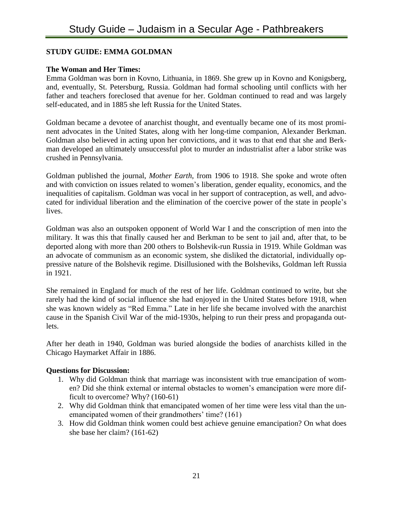# **STUDY GUIDE: EMMA GOLDMAN**

#### **The Woman and Her Times:**

Emma Goldman was born in Kovno, Lithuania, in 1869. She grew up in Kovno and Konigsberg, and, eventually, St. Petersburg, Russia. Goldman had formal schooling until conflicts with her father and teachers foreclosed that avenue for her. Goldman continued to read and was largely self-educated, and in 1885 she left Russia for the United States.

Goldman became a devotee of anarchist thought, and eventually became one of its most prominent advocates in the United States, along with her long-time companion, Alexander Berkman. Goldman also believed in acting upon her convictions, and it was to that end that she and Berkman developed an ultimately unsuccessful plot to murder an industrialist after a labor strike was crushed in Pennsylvania.

Goldman published the journal, *Mother Earth*, from 1906 to 1918. She spoke and wrote often and with conviction on issues related to women's liberation, gender equality, economics, and the inequalities of capitalism. Goldman was vocal in her support of contraception, as well, and advocated for individual liberation and the elimination of the coercive power of the state in people's lives.

Goldman was also an outspoken opponent of World War I and the conscription of men into the military. It was this that finally caused her and Berkman to be sent to jail and, after that, to be deported along with more than 200 others to Bolshevik-run Russia in 1919. While Goldman was an advocate of communism as an economic system, she disliked the dictatorial, individually oppressive nature of the Bolshevik regime. Disillusioned with the Bolsheviks, Goldman left Russia in 1921.

She remained in England for much of the rest of her life. Goldman continued to write, but she rarely had the kind of social influence she had enjoyed in the United States before 1918, when she was known widely as "Red Emma." Late in her life she became involved with the anarchist cause in the Spanish Civil War of the mid-1930s, helping to run their press and propaganda outlets.

After her death in 1940, Goldman was buried alongside the bodies of anarchists killed in the Chicago Haymarket Affair in 1886.

- 1. Why did Goldman think that marriage was inconsistent with true emancipation of women? Did she think external or internal obstacles to women's emancipation were more difficult to overcome? Why? (160-61)
- 2. Why did Goldman think that emancipated women of her time were less vital than the unemancipated women of their grandmothers' time? (161)
- 3. How did Goldman think women could best achieve genuine emancipation? On what does she base her claim? (161-62)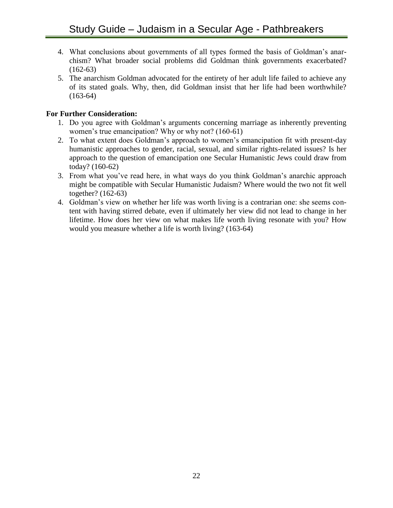- 4. What conclusions about governments of all types formed the basis of Goldman's anarchism? What broader social problems did Goldman think governments exacerbated?  $(162-63)$
- 5. The anarchism Goldman advocated for the entirety of her adult life failed to achieve any of its stated goals. Why, then, did Goldman insist that her life had been worthwhile?  $(163-64)$

- 1. Do you agree with Goldman's arguments concerning marriage as inherently preventing women's true emancipation? Why or why not? (160-61)
- 2. To what extent does Goldman's approach to women's emancipation fit with present-day humanistic approaches to gender, racial, sexual, and similar rights-related issues? Is her approach to the question of emancipation one Secular Humanistic Jews could draw from today? (160-62)
- 3. From what you've read here, in what ways do you think Goldman's anarchic approach might be compatible with Secular Humanistic Judaism? Where would the two not fit well together? (162-63)
- 4. Goldman's view on whether her life was worth living is a contrarian one: she seems content with having stirred debate, even if ultimately her view did not lead to change in her lifetime. How does her view on what makes life worth living resonate with you? How would you measure whether a life is worth living? (163-64)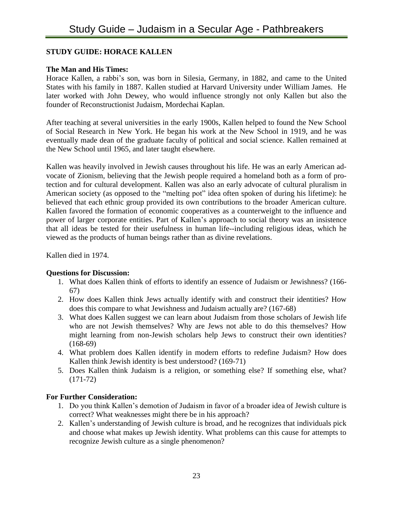# **STUDY GUIDE: HORACE KALLEN**

# **The Man and His Times:**

Horace Kallen, a rabbi's son, was born in Silesia, Germany, in 1882, and came to the United States with his family in 1887. Kallen studied at Harvard University under William James. He later worked with John Dewey, who would influence strongly not only Kallen but also the founder of Reconstructionist Judaism, Mordechai Kaplan.

After teaching at several universities in the early 1900s, Kallen helped to found the New School of Social Research in New York. He began his work at the New School in 1919, and he was eventually made dean of the graduate faculty of political and social science. Kallen remained at the New School until 1965, and later taught elsewhere.

Kallen was heavily involved in Jewish causes throughout his life. He was an early American advocate of Zionism, believing that the Jewish people required a homeland both as a form of protection and for cultural development. Kallen was also an early advocate of cultural pluralism in American society (as opposed to the "melting pot" idea often spoken of during his lifetime): he believed that each ethnic group provided its own contributions to the broader American culture. Kallen favored the formation of economic cooperatives as a counterweight to the influence and power of larger corporate entities. Part of Kallen's approach to social theory was an insistence that all ideas be tested for their usefulness in human life--including religious ideas, which he viewed as the products of human beings rather than as divine revelations.

Kallen died in 1974.

# **Questions for Discussion:**

- 1. What does Kallen think of efforts to identify an essence of Judaism or Jewishness? (166- 67)
- 2. How does Kallen think Jews actually identify with and construct their identities? How does this compare to what Jewishness and Judaism actually are? (167-68)
- 3. What does Kallen suggest we can learn about Judaism from those scholars of Jewish life who are not Jewish themselves? Why are Jews not able to do this themselves? How might learning from non-Jewish scholars help Jews to construct their own identities? (168-69)
- 4. What problem does Kallen identify in modern efforts to redefine Judaism? How does Kallen think Jewish identity is best understood? (169-71)
- 5. Does Kallen think Judaism is a religion, or something else? If something else, what? (171-72)

- 1. Do you think Kallen's demotion of Judaism in favor of a broader idea of Jewish culture is correct? What weaknesses might there be in his approach?
- 2. Kallen's understanding of Jewish culture is broad, and he recognizes that individuals pick and choose what makes up Jewish identity. What problems can this cause for attempts to recognize Jewish culture as a single phenomenon?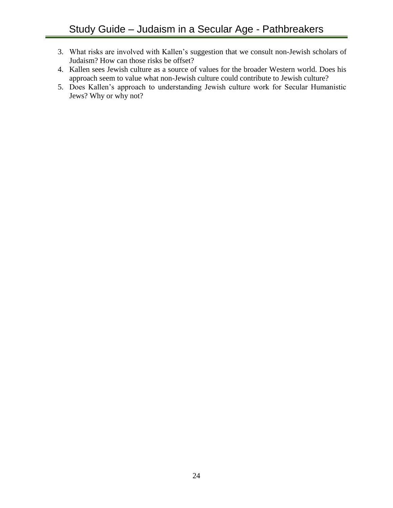- 3. What risks are involved with Kallen's suggestion that we consult non-Jewish scholars of Judaism? How can those risks be offset?
- 4. Kallen sees Jewish culture as a source of values for the broader Western world. Does his approach seem to value what non-Jewish culture could contribute to Jewish culture?
- 5. Does Kallen's approach to understanding Jewish culture work for Secular Humanistic Jews? Why or why not?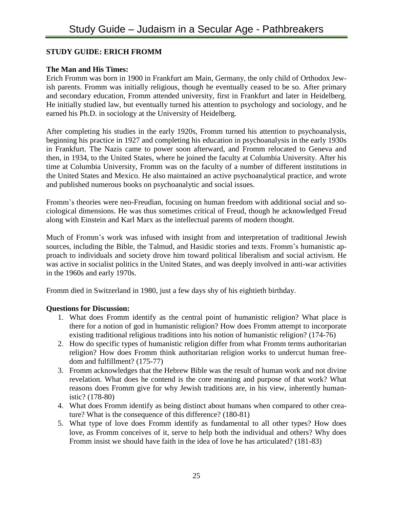# **STUDY GUIDE: ERICH FROMM**

# **The Man and His Times:**

Erich Fromm was born in 1900 in Frankfurt am Main, Germany, the only child of Orthodox Jewish parents. Fromm was initially religious, though he eventually ceased to be so. After primary and secondary education, Fromm attended university, first in Frankfurt and later in Heidelberg. He initially studied law, but eventually turned his attention to psychology and sociology, and he earned his Ph.D. in sociology at the University of Heidelberg.

After completing his studies in the early 1920s, Fromm turned his attention to psychoanalysis, beginning his practice in 1927 and completing his education in psychoanalysis in the early 1930s in Frankfurt. The Nazis came to power soon afterward, and Fromm relocated to Geneva and then, in 1934, to the United States, where he joined the faculty at Columbia University. After his time at Columbia University, Fromm was on the faculty of a number of different institutions in the United States and Mexico. He also maintained an active psychoanalytical practice, and wrote and published numerous books on psychoanalytic and social issues.

Fromm's theories were neo-Freudian, focusing on human freedom with additional social and sociological dimensions. He was thus sometimes critical of Freud, though he acknowledged Freud along with Einstein and Karl Marx as the intellectual parents of modern thought.

Much of Fromm's work was infused with insight from and interpretation of traditional Jewish sources, including the Bible, the Talmud, and Hasidic stories and texts. Fromm's humanistic approach to individuals and society drove him toward political liberalism and social activism. He was active in socialist politics in the United States, and was deeply involved in anti-war activities in the 1960s and early 1970s.

Fromm died in Switzerland in 1980, just a few days shy of his eightieth birthday.

- 1. What does Fromm identify as the central point of humanistic religion? What place is there for a notion of god in humanistic religion? How does Fromm attempt to incorporate existing traditional religious traditions into his notion of humanistic religion? (174-76)
- 2. How do specific types of humanistic religion differ from what Fromm terms authoritarian religion? How does Fromm think authoritarian religion works to undercut human freedom and fulfillment? (175-77)
- 3. Fromm acknowledges that the Hebrew Bible was the result of human work and not divine revelation. What does he contend is the core meaning and purpose of that work? What reasons does Fromm give for why Jewish traditions are, in his view, inherently humanistic? (178-80)
- 4. What does Fromm identify as being distinct about humans when compared to other creature? What is the consequence of this difference? (180-81)
- 5. What type of love does Fromm identify as fundamental to all other types? How does love, as Fromm conceives of it, serve to help both the individual and others? Why does Fromm insist we should have faith in the idea of love he has articulated? (181-83)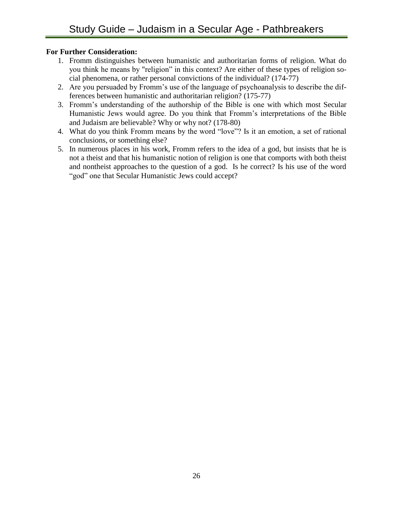- 1. Fromm distinguishes between humanistic and authoritarian forms of religion. What do you think he means by "religion" in this context? Are either of these types of religion social phenomena, or rather personal convictions of the individual? (174-77)
- 2. Are you persuaded by Fromm's use of the language of psychoanalysis to describe the differences between humanistic and authoritarian religion? (175-77)
- 3. Fromm's understanding of the authorship of the Bible is one with which most Secular Humanistic Jews would agree. Do you think that Fromm's interpretations of the Bible and Judaism are believable? Why or why not? (178-80)
- 4. What do you think Fromm means by the word "love"? Is it an emotion, a set of rational conclusions, or something else?
- 5. In numerous places in his work, Fromm refers to the idea of a god, but insists that he is not a theist and that his humanistic notion of religion is one that comports with both theist and nontheist approaches to the question of a god. Is he correct? Is his use of the word "god" one that Secular Humanistic Jews could accept?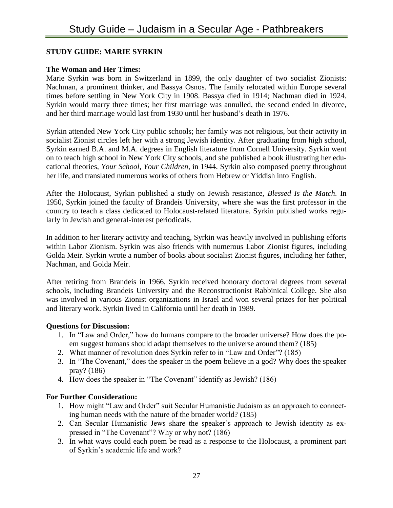# **STUDY GUIDE: MARIE SYRKIN**

#### **The Woman and Her Times:**

Marie Syrkin was born in Switzerland in 1899, the only daughter of two socialist Zionists: Nachman, a prominent thinker, and Bassya Osnos. The family relocated within Europe several times before settling in New York City in 1908. Bassya died in 1914; Nachman died in 1924. Syrkin would marry three times; her first marriage was annulled, the second ended in divorce, and her third marriage would last from 1930 until her husband's death in 1976.

Syrkin attended New York City public schools; her family was not religious, but their activity in socialist Zionist circles left her with a strong Jewish identity. After graduating from high school, Syrkin earned B.A. and M.A. degrees in English literature from Cornell University. Syrkin went on to teach high school in New York City schools, and she published a book illustrating her educational theories, *Your School, Your Children*, in 1944. Syrkin also composed poetry throughout her life, and translated numerous works of others from Hebrew or Yiddish into English.

After the Holocaust, Syrkin published a study on Jewish resistance, *Blessed Is the Match*. In 1950, Syrkin joined the faculty of Brandeis University, where she was the first professor in the country to teach a class dedicated to Holocaust-related literature. Syrkin published works regularly in Jewish and general-interest periodicals.

In addition to her literary activity and teaching, Syrkin was heavily involved in publishing efforts within Labor Zionism. Syrkin was also friends with numerous Labor Zionist figures, including Golda Meir. Syrkin wrote a number of books about socialist Zionist figures, including her father, Nachman, and Golda Meir.

After retiring from Brandeis in 1966, Syrkin received honorary doctoral degrees from several schools, including Brandeis University and the Reconstructionist Rabbinical College. She also was involved in various Zionist organizations in Israel and won several prizes for her political and literary work. Syrkin lived in California until her death in 1989.

#### **Questions for Discussion:**

- 1. In "Law and Order," how do humans compare to the broader universe? How does the poem suggest humans should adapt themselves to the universe around them? (185)
- 2. What manner of revolution does Syrkin refer to in "Law and Order"? (185)
- 3. In "The Covenant," does the speaker in the poem believe in a god? Why does the speaker pray? (186)
- 4. How does the speaker in "The Covenant" identify as Jewish? (186)

- 1. How might "Law and Order" suit Secular Humanistic Judaism as an approach to connecting human needs with the nature of the broader world? (185)
- 2. Can Secular Humanistic Jews share the speaker's approach to Jewish identity as expressed in "The Covenant"? Why or why not? (186)
- 3. In what ways could each poem be read as a response to the Holocaust, a prominent part of Syrkin's academic life and work?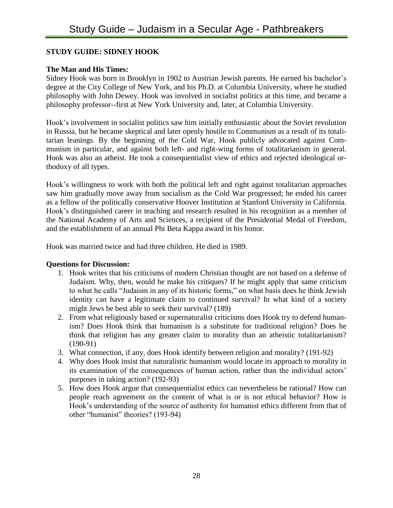# **STUDY GUIDE: SIDNEY HOOK**

# **The Man and His Times:**

Sidney Hook was born in Brooklyn in 1902 to Austrian Jewish parents. He earned his bachelor's degree at the City College of New York, and his Ph.D. at Columbia University, where he studied philosophy with John Dewey. Hook was involved in socialist politics at this time, and became a philosophy professor--first at New York University and, later, at Columbia University.

Hook's involvement in socialist politics saw him initially enthusiastic about the Soviet revolution in Russia, but he became skeptical and later openly hostile to Communism as a result of its totalitarian leanings. By the beginning of the Cold War, Hook publicly advocated against Communism in particular, and against both left- and right-wing forms of totalitarianism in general. Hook was also an atheist. He took a consequentialist view of ethics and rejected ideological orthodoxy of all types.

Hook's willingness to work with both the political left and right against totalitarian approaches saw him gradually move away from socialism as the Cold War progressed; he ended his career as a fellow of the politically conservative Hoover Institution at Stanford University in California. Hook's distinguished career in teaching and research resulted in his recognition as a member of the National Academy of Arts and Sciences, a recipient of the Presidential Medal of Freedom, and the establishment of an annual Phi Beta Kappa award in his honor.

Hook was married twice and had three children. He died in 1989.

- 1. Hook writes that his criticisms of modern Christian thought are not based on a defense of Judaism. Why, then, would he make his critiques? If he might apply that same criticism to what he calls "Judaism in any of its historic forms," on what basis does he think Jewish identity can have a legitimate claim to continued survival? In what kind of a society might Jews be best able to seek their survival? (189)
- 2. From what religiously based or supernaturalist criticisms does Hook try to defend humanism? Does Hook think that humanism is a substitute for traditional religion? Does he think that religion has any greater claim to morality than an atheistic totalitarianism? (190-91)
- 3. What connection, if any, does Hook identify between religion and morality? (191-92)
- 4. Why does Hook insist that naturalistic humanism would locate its approach to morality in its examination of the consequences of human action, rather than the individual actors' purposes in taking action? (192-93)
- 5. How does Hook argue that consequentialist ethics can nevertheless be rational? How can people reach agreement on the content of what is or is not ethical behavior? How is Hook's understanding of the source of authority for humanist ethics different from that of other "humanist" theories? (193-94)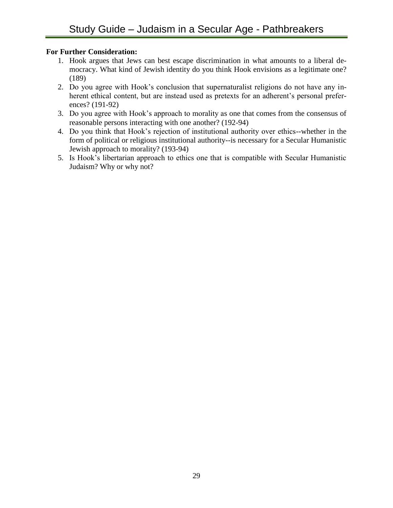- 1. Hook argues that Jews can best escape discrimination in what amounts to a liberal democracy. What kind of Jewish identity do you think Hook envisions as a legitimate one? (189)
- 2. Do you agree with Hook's conclusion that supernaturalist religions do not have any inherent ethical content, but are instead used as pretexts for an adherent's personal preferences? (191-92)
- 3. Do you agree with Hook's approach to morality as one that comes from the consensus of reasonable persons interacting with one another? (192-94)
- 4. Do you think that Hook's rejection of institutional authority over ethics--whether in the form of political or religious institutional authority--is necessary for a Secular Humanistic Jewish approach to morality? (193-94)
- 5. Is Hook's libertarian approach to ethics one that is compatible with Secular Humanistic Judaism? Why or why not?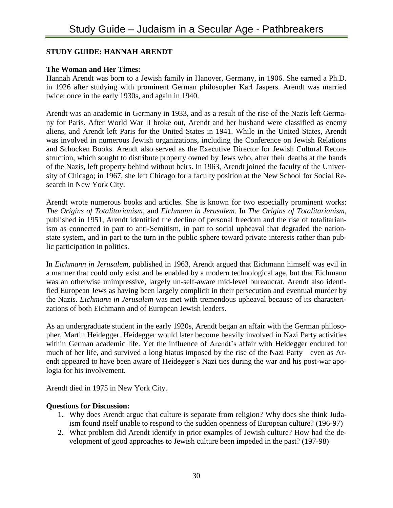# **STUDY GUIDE: HANNAH ARENDT**

#### **The Woman and Her Times:**

Hannah Arendt was born to a Jewish family in Hanover, Germany, in 1906. She earned a Ph.D. in 1926 after studying with prominent German philosopher Karl Jaspers. Arendt was married twice: once in the early 1930s, and again in 1940.

Arendt was an academic in Germany in 1933, and as a result of the rise of the Nazis left Germany for Paris. After World War II broke out, Arendt and her husband were classified as enemy aliens, and Arendt left Paris for the United States in 1941. While in the United States, Arendt was involved in numerous Jewish organizations, including the Conference on Jewish Relations and Schocken Books. Arendt also served as the Executive Director for Jewish Cultural Reconstruction, which sought to distribute property owned by Jews who, after their deaths at the hands of the Nazis, left property behind without heirs. In 1963, Arendt joined the faculty of the University of Chicago; in 1967, she left Chicago for a faculty position at the New School for Social Research in New York City.

Arendt wrote numerous books and articles. She is known for two especially prominent works: *The Origins of Totalitarianism*, and *Eichmann in Jerusalem*. In *The Origins of Totalitarianism*, published in 1951, Arendt identified the decline of personal freedom and the rise of totalitarianism as connected in part to anti-Semitism, in part to social upheaval that degraded the nationstate system, and in part to the turn in the public sphere toward private interests rather than public participation in politics.

In *Eichmann in Jerusalem*, published in 1963, Arendt argued that Eichmann himself was evil in a manner that could only exist and be enabled by a modern technological age, but that Eichmann was an otherwise unimpressive, largely un-self-aware mid-level bureaucrat. Arendt also identified European Jews as having been largely complicit in their persecution and eventual murder by the Nazis. *Eichmann in Jerusalem* was met with tremendous upheaval because of its characterizations of both Eichmann and of European Jewish leaders.

As an undergraduate student in the early 1920s, Arendt began an affair with the German philosopher, Martin Heidegger. Heidegger would later become heavily involved in Nazi Party activities within German academic life. Yet the influence of Arendt's affair with Heidegger endured for much of her life, and survived a long hiatus imposed by the rise of the Nazi Party—even as Arendt appeared to have been aware of Heidegger's Nazi ties during the war and his post-war apologia for his involvement.

Arendt died in 1975 in New York City.

- 1. Why does Arendt argue that culture is separate from religion? Why does she think Judaism found itself unable to respond to the sudden openness of European culture? (196-97)
- 2. What problem did Arendt identify in prior examples of Jewish culture? How had the development of good approaches to Jewish culture been impeded in the past? (197-98)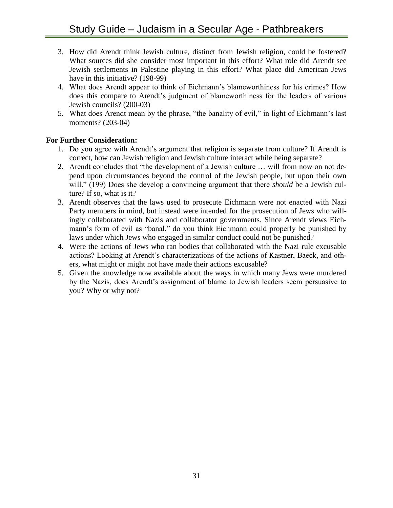- 3. How did Arendt think Jewish culture, distinct from Jewish religion, could be fostered? What sources did she consider most important in this effort? What role did Arendt see Jewish settlements in Palestine playing in this effort? What place did American Jews have in this initiative? (198-99)
- 4. What does Arendt appear to think of Eichmann's blameworthiness for his crimes? How does this compare to Arendt's judgment of blameworthiness for the leaders of various Jewish councils? (200-03)
- 5. What does Arendt mean by the phrase, "the banality of evil," in light of Eichmann's last moments? (203-04)

- 1. Do you agree with Arendt's argument that religion is separate from culture? If Arendt is correct, how can Jewish religion and Jewish culture interact while being separate?
- 2. Arendt concludes that "the development of a Jewish culture … will from now on not depend upon circumstances beyond the control of the Jewish people, but upon their own will." (199) Does she develop a convincing argument that there *should* be a Jewish culture? If so, what is it?
- 3. Arendt observes that the laws used to prosecute Eichmann were not enacted with Nazi Party members in mind, but instead were intended for the prosecution of Jews who willingly collaborated with Nazis and collaborator governments. Since Arendt views Eichmann's form of evil as "banal," do you think Eichmann could properly be punished by laws under which Jews who engaged in similar conduct could not be punished?
- 4. Were the actions of Jews who ran bodies that collaborated with the Nazi rule excusable actions? Looking at Arendt's characterizations of the actions of Kastner, Baeck, and others, what might or might not have made their actions excusable?
- 5. Given the knowledge now available about the ways in which many Jews were murdered by the Nazis, does Arendt's assignment of blame to Jewish leaders seem persuasive to you? Why or why not?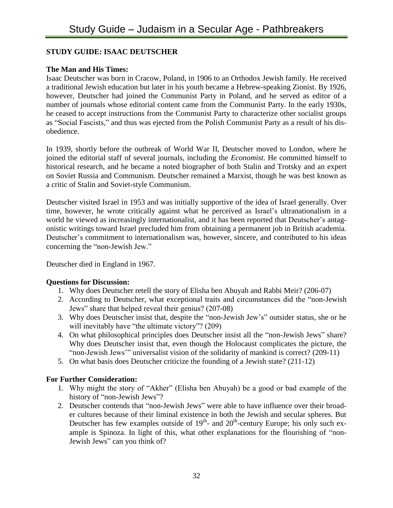# **STUDY GUIDE: ISAAC DEUTSCHER**

# **The Man and His Times:**

Isaac Deutscher was born in Cracow, Poland, in 1906 to an Orthodox Jewish family. He received a traditional Jewish education but later in his youth became a Hebrew-speaking Zionist. By 1926, however, Deutscher had joined the Communist Party in Poland, and he served as editor of a number of journals whose editorial content came from the Communist Party. In the early 1930s, he ceased to accept instructions from the Communist Party to characterize other socialist groups as "Social Fascists," and thus was ejected from the Polish Communist Party as a result of his disobedience.

In 1939, shortly before the outbreak of World War II, Deutscher moved to London, where he joined the editorial staff of several journals, including the *Economist*. He committed himself to historical research, and he became a noted biographer of both Stalin and Trotsky and an expert on Soviet Russia and Communism. Deutscher remained a Marxist, though he was best known as a critic of Stalin and Soviet-style Communism.

Deutscher visited Israel in 1953 and was initially supportive of the idea of Israel generally. Over time, however, he wrote critically against what he perceived as Israel's ultranationalism in a world he viewed as increasingly internationalist, and it has been reported that Deutscher's antagonistic writings toward Israel precluded him from obtaining a permanent job in British academia. Deutscher's commitment to internationalism was, however, sincere, and contributed to his ideas concerning the "non-Jewish Jew."

Deutscher died in England in 1967.

# **Questions for Discussion:**

- 1. Why does Deutscher retell the story of Elisha ben Abuyah and Rabbi Meir? (206-07)
- 2. According to Deutscher, what exceptional traits and circumstances did the "non-Jewish Jews" share that helped reveal their genius? (207-08)
- 3. Why does Deutscher insist that, despite the "non-Jewish Jew's" outsider status, she or he will inevitably have "the ultimate victory"? (209)
- 4. On what philosophical principles does Deutscher insist all the "non-Jewish Jews" share? Why does Deutscher insist that, even though the Holocaust complicates the picture, the "non-Jewish Jews'" universalist vision of the solidarity of mankind is correct? (209-11)
- 5. On what basis does Deutscher criticize the founding of a Jewish state? (211-12)

- 1. Why might the story of "Akher" (Elisha ben Abuyah) be a good or bad example of the history of "non-Jewish Jews"?
- 2. Deutscher contends that "non-Jewish Jews" were able to have influence over their broader cultures because of their liminal existence in both the Jewish and secular spheres. But Deutscher has few examples outside of  $19<sup>th</sup>$  and  $20<sup>th</sup>$  century Europe; his only such example is Spinoza. In light of this, what other explanations for the flourishing of "non-Jewish Jews" can you think of?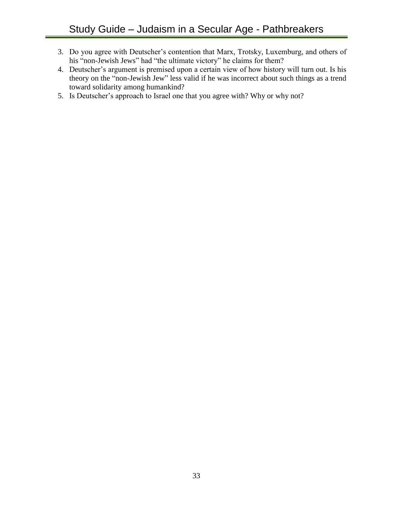- 3. Do you agree with Deutscher's contention that Marx, Trotsky, Luxemburg, and others of his "non-Jewish Jews" had "the ultimate victory" he claims for them?
- 4. Deutscher's argument is premised upon a certain view of how history will turn out. Is his theory on the "non-Jewish Jew" less valid if he was incorrect about such things as a trend toward solidarity among humankind?
- 5. Is Deutscher's approach to Israel one that you agree with? Why or why not?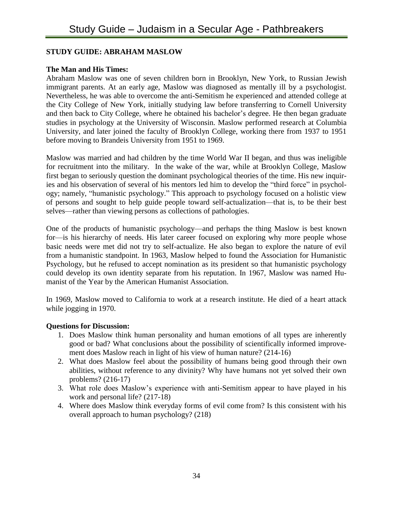# **STUDY GUIDE: ABRAHAM MASLOW**

# **The Man and His Times:**

Abraham Maslow was one of seven children born in Brooklyn, New York, to Russian Jewish immigrant parents. At an early age, Maslow was diagnosed as mentally ill by a psychologist. Nevertheless, he was able to overcome the anti-Semitism he experienced and attended college at the City College of New York, initially studying law before transferring to Cornell University and then back to City College, where he obtained his bachelor's degree. He then began graduate studies in psychology at the University of Wisconsin. Maslow performed research at Columbia University, and later joined the faculty of Brooklyn College, working there from 1937 to 1951 before moving to Brandeis University from 1951 to 1969.

Maslow was married and had children by the time World War II began, and thus was ineligible for recruitment into the military. In the wake of the war, while at Brooklyn College, Maslow first began to seriously question the dominant psychological theories of the time. His new inquiries and his observation of several of his mentors led him to develop the "third force" in psychology; namely, "humanistic psychology." This approach to psychology focused on a holistic view of persons and sought to help guide people toward self-actualization—that is, to be their best selves—rather than viewing persons as collections of pathologies.

One of the products of humanistic psychology—and perhaps the thing Maslow is best known for—is his hierarchy of needs. His later career focused on exploring why more people whose basic needs were met did not try to self-actualize. He also began to explore the nature of evil from a humanistic standpoint. In 1963, Maslow helped to found the Association for Humanistic Psychology, but he refused to accept nomination as its president so that humanistic psychology could develop its own identity separate from his reputation. In 1967, Maslow was named Humanist of the Year by the American Humanist Association.

In 1969, Maslow moved to California to work at a research institute. He died of a heart attack while jogging in 1970.

- 1. Does Maslow think human personality and human emotions of all types are inherently good or bad? What conclusions about the possibility of scientifically informed improvement does Maslow reach in light of his view of human nature? (214-16)
- 2. What does Maslow feel about the possibility of humans being good through their own abilities, without reference to any divinity? Why have humans not yet solved their own problems? (216-17)
- 3. What role does Maslow's experience with anti-Semitism appear to have played in his work and personal life? (217-18)
- 4. Where does Maslow think everyday forms of evil come from? Is this consistent with his overall approach to human psychology? (218)